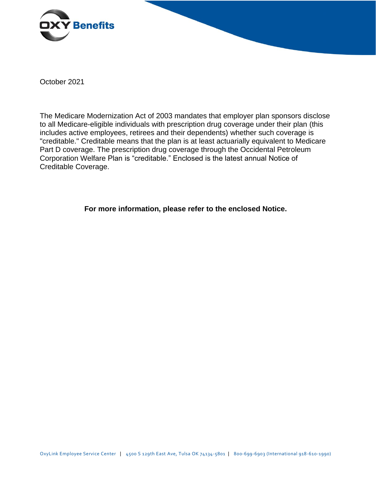

October 2021

The Medicare Modernization Act of 2003 mandates that employer plan sponsors disclose to all Medicare-eligible individuals with prescription drug coverage under their plan (this includes active employees, retirees and their dependents) whether such coverage is "creditable." Creditable means that the plan is at least actuarially equivalent to Medicare Part D coverage. The prescription drug coverage through the Occidental Petroleum Corporation Welfare Plan is "creditable." Enclosed is the latest annual Notice of Creditable Coverage.

**For more information, please refer to the enclosed Notice.**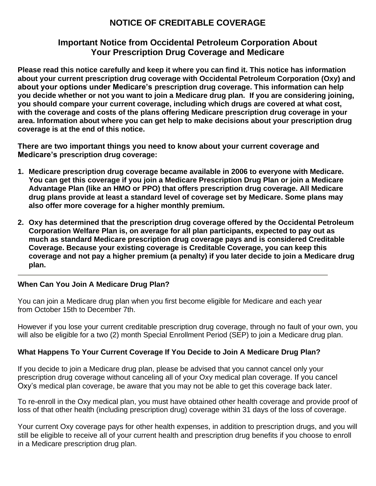# **NOTICE OF CREDITABLE COVERAGE**

# **Important Notice from Occidental Petroleum Corporation About Your Prescription Drug Coverage and Medicare**

**Please read this notice carefully and keep it where you can find it. This notice has information about your current prescription drug coverage with Occidental Petroleum Corporation (Oxy) and about your options under Medicare's prescription drug coverage. This information can help you decide whether or not you want to join a Medicare drug plan. If you are considering joining, you should compare your current coverage, including which drugs are covered at what cost, with the coverage and costs of the plans offering Medicare prescription drug coverage in your area. Information about where you can get help to make decisions about your prescription drug coverage is at the end of this notice.**

**There are two important things you need to know about your current coverage and Medicare's prescription drug coverage:**

- **1. Medicare prescription drug coverage became available in 2006 to everyone with Medicare. You can get this coverage if you join a Medicare Prescription Drug Plan or join a Medicare Advantage Plan (like an HMO or PPO) that offers prescription drug coverage. All Medicare drug plans provide at least a standard level of coverage set by Medicare. Some plans may also offer more coverage for a higher monthly premium.**
- **2. Oxy has determined that the prescription drug coverage offered by the Occidental Petroleum Corporation Welfare Plan is, on average for all plan participants, expected to pay out as much as standard Medicare prescription drug coverage pays and is considered Creditable Coverage. Because your existing coverage is Creditable Coverage, you can keep this coverage and not pay a higher premium (a penalty) if you later decide to join a Medicare drug plan.**

#### **When Can You Join A Medicare Drug Plan?**

You can join a Medicare drug plan when you first become eligible for Medicare and each year from October 15th to December 7th.

However if you lose your current creditable prescription drug coverage, through no fault of your own, you will also be eligible for a two (2) month Special Enrollment Period (SEP) to join a Medicare drug plan.

### **What Happens To Your Current Coverage If You Decide to Join A Medicare Drug Plan?**

If you decide to join a Medicare drug plan, please be advised that you cannot cancel only your prescription drug coverage without canceling all of your Oxy medical plan coverage. If you cancel Oxy's medical plan coverage, be aware that you may not be able to get this coverage back later.

To re-enroll in the Oxy medical plan, you must have obtained other health coverage and provide proof of loss of that other health (including prescription drug) coverage within 31 days of the loss of coverage.

Your current Oxy coverage pays for other health expenses, in addition to prescription drugs, and you will still be eligible to receive all of your current health and prescription drug benefits if you choose to enroll in a Medicare prescription drug plan.